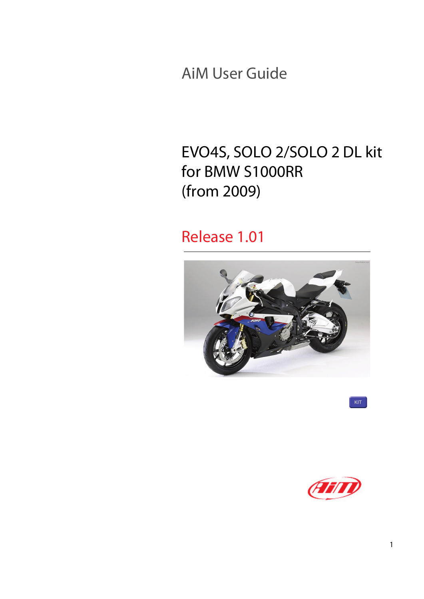AiM User Guide

### EVO4S, SOLO 2/SOLO 2 DL kit for BMW S1000RR (from 2009)

### Release 1.01



 $KT$ 

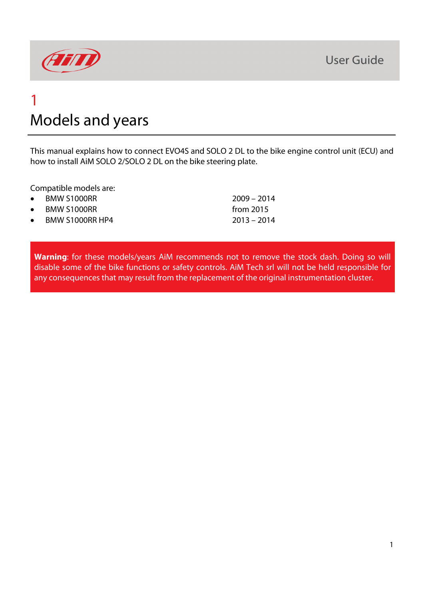

### 1 Models and years

This manual explains how to connect EVO4S and SOLO 2 DL to the bike engine control unit (ECU) and how to install AiM SOLO 2/SOLO 2 DL on the bike steering plate.

Compatible models are:

• BMW S1000RR 2009 – 2014 • BMW S1000RR from 2015 • BMW S1000RR HP4 2013 – 2014

**Warning**: for these models/years AiM recommends not to remove the stock dash. Doing so will disable some of the bike functions or safety controls. AiM Tech srl will not be held responsible for any consequences that may result from the replacement of the original instrumentation cluster.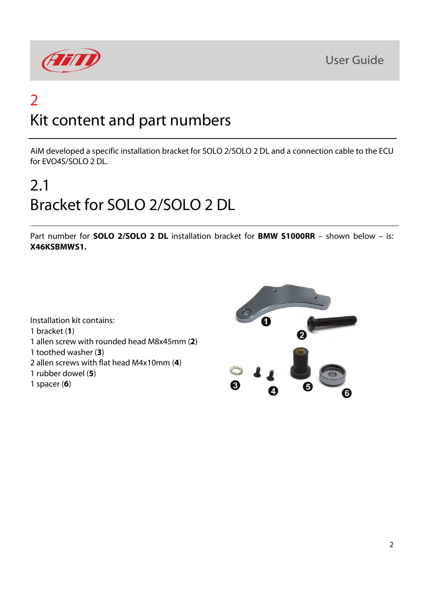

### 2 Kit content and part numbers

AiM developed a specific installation bracket for SOLO 2/SOLO 2 DL and a connection cable to the ECU for EVO4S/SOLO 2 DL.

# 2.1 Bracket for SOLO 2/SOLO 2 DL

Part number for **SOLO 2/SOLO 2 DL** installation bracket for **BMW S1000RR** – shown below – is: **X46KSBMWS1.**



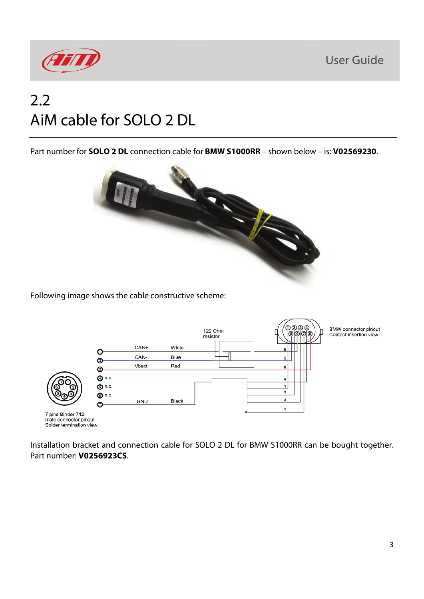

### 2.2 AiM cable for SOLO 2 DL

Part number for **SOLO 2 DL** connection cable for **BMW S1000RR** – shown below – is: **V02569230**.



Following image shows the cable constructive scheme:



Installation bracket and connection cable for SOLO 2 DL for BMW S1000RR can be bought together. Part number: **V0256923CS**.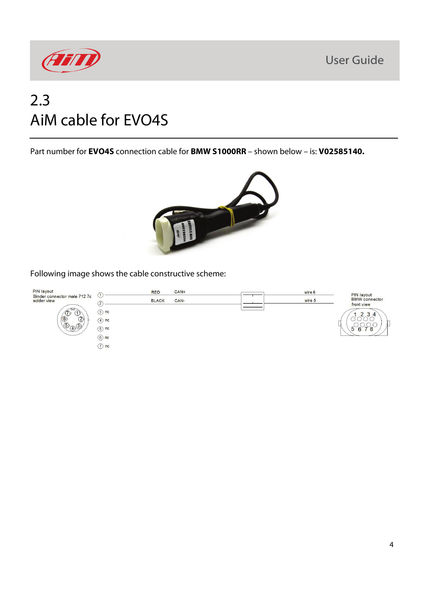



### 2.3 AiM cable for EVO4S

Part number for **EVO4S** connection cable for **BMW S1000RR** – shown below – is: **V02585140.**



#### Following image shows the cable constructive scheme:

| PIN layout                                                                                                                               |                   | <b>RED</b>   | $CAN+$ | wire 6 | PIN layout                         |
|------------------------------------------------------------------------------------------------------------------------------------------|-------------------|--------------|--------|--------|------------------------------------|
| Binder connector male 712 7c<br>solder view<br><b>Hallen</b><br>冷<br>$\bullet$<br>$\circled{2}$<br>$\circled{5}$<br>$\sqrt{3}$<br>$\sim$ | U<br>2            | <b>BLACK</b> | CAN-   | wire 5 | <b>BMW</b> connector<br>front view |
|                                                                                                                                          | $\circled{3}$ nc  |              |        |        | 3<br>$\Delta$                      |
|                                                                                                                                          | $(4)$ nc          |              |        |        |                                    |
|                                                                                                                                          | $(5)$ nc          |              |        |        | $\mathbf{b}$                       |
|                                                                                                                                          | $\circledcirc$ nc |              |        |        |                                    |
|                                                                                                                                          | $(7)$ nc          |              |        |        |                                    |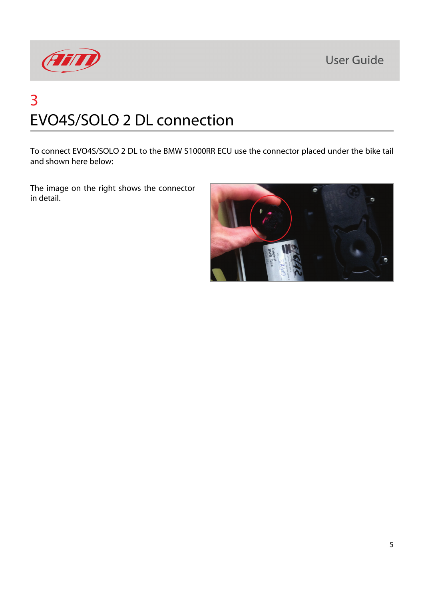

## 3 EVO4S/SOLO 2 DL connection

To connect EVO4S/SOLO 2 DL to the BMW S1000RR ECU use the connector placed under the bike tail and shown here below:

The image on the right shows the connector in detail.

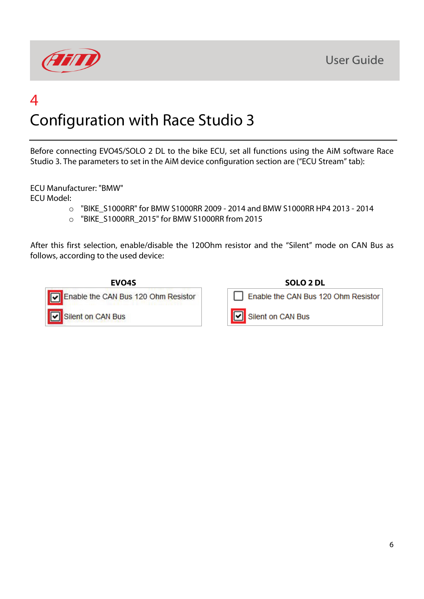



### 4 Configuration with Race Studio 3

Before connecting EVO4S/SOLO 2 DL to the bike ECU, set all functions using the AiM software Race Studio 3. The parameters to set in the AiM device configuration section are ("ECU Stream" tab):

ECU Manufacturer: "BMW"

ECU Model:

- o "BIKE\_S1000RR" for BMW S1000RR 2009 2014 and BMW S1000RR HP4 2013 2014
- o "BIKE\_S1000RR\_2015" for BMW S1000RR from 2015

After this first selection, enable/disable the 120Ohm resistor and the "Silent" mode on CAN Bus as follows, according to the used device:



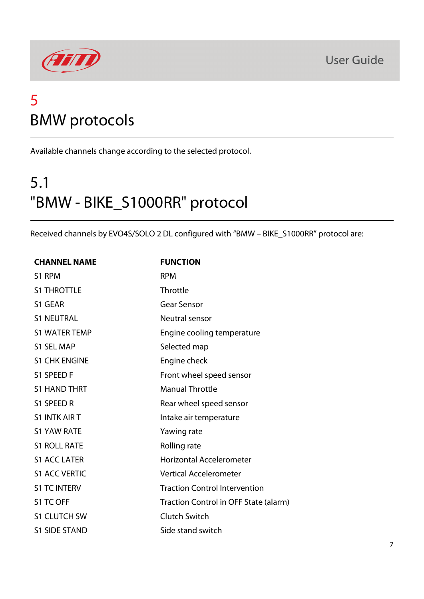

### 5 BMW protocols

Available channels change according to the selected protocol.

# 5.1 "BMW - BIKE\_S1000RR" protocol

Received channels by EVO4S/SOLO 2 DL configured with "BMW – BIKE\_S1000RR" protocol are:

| <b>CHANNEL NAME</b>  | <b>FUNCTION</b>                       |
|----------------------|---------------------------------------|
| S1 RPM               | <b>RPM</b>                            |
| <b>S1 THROTTLE</b>   | Throttle                              |
| S1 GEAR              | <b>Gear Sensor</b>                    |
| <b>S1 NEUTRAL</b>    | Neutral sensor                        |
| <b>S1 WATER TEMP</b> | Engine cooling temperature            |
| <b>S1 SEL MAP</b>    | Selected map                          |
| <b>S1 CHK ENGINE</b> | Engine check                          |
| S1 SPEED F           | Front wheel speed sensor              |
| <b>S1 HAND THRT</b>  | <b>Manual Throttle</b>                |
| S1 SPEED R           | Rear wheel speed sensor               |
| <b>S1 INTK AIR T</b> | Intake air temperature                |
| <b>S1 YAW RATE</b>   | Yawing rate                           |
| <b>S1 ROLL RATE</b>  | Rolling rate                          |
| <b>S1 ACC LATER</b>  | <b>Horizontal Accelerometer</b>       |
| <b>S1 ACC VERTIC</b> | <b>Vertical Accelerometer</b>         |
| <b>S1 TC INTERV</b>  | <b>Traction Control Intervention</b>  |
| S1 TC OFF            | Traction Control in OFF State (alarm) |
| <b>S1 CLUTCH SW</b>  | <b>Clutch Switch</b>                  |
| <b>S1 SIDE STAND</b> | Side stand switch                     |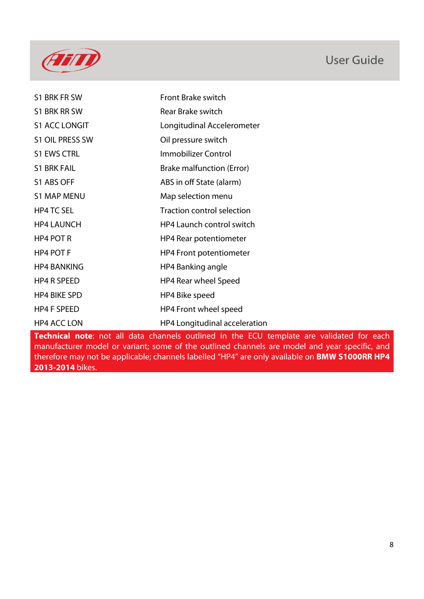

| S1 BRK FR SW         | Front Brake switch                                                                               |
|----------------------|--------------------------------------------------------------------------------------------------|
| S1 BRK RR SW         | <b>Rear Brake switch</b>                                                                         |
| <b>S1 ACC LONGIT</b> | Longitudinal Accelerometer                                                                       |
| S1 OIL PRESS SW      | Oil pressure switch                                                                              |
| <b>S1 EWS CTRL</b>   | Immobilizer Control                                                                              |
| <b>S1 BRK FAIL</b>   | Brake malfunction (Error)                                                                        |
| S1 ABS OFF           | ABS in off State (alarm)                                                                         |
| <b>S1 MAP MENU</b>   | Map selection menu                                                                               |
| <b>HP4 TC SEL</b>    | <b>Traction control selection</b>                                                                |
| <b>HP4 LAUNCH</b>    | HP4 Launch control switch                                                                        |
| HP4 POT R            | HP4 Rear potentiometer                                                                           |
| HP4 POT F            | <b>HP4 Front potentiometer</b>                                                                   |
| <b>HP4 BANKING</b>   | HP4 Banking angle                                                                                |
| <b>HP4 R SPEED</b>   | HP4 Rear wheel Speed                                                                             |
| <b>HP4 BIKE SPD</b>  | HP4 Bike speed                                                                                   |
| <b>HP4 F SPEED</b>   | HP4 Front wheel speed                                                                            |
| HP4 ACC LON          | HP4 Longitudinal acceleration                                                                    |
|                      | <b>Technical note</b> : not all data channels outlined in the ECU template are validated for eac |

**Technical note**: not all data channels outlined in the ECU template are validated for each manufacturer model or variant; some of the outlined channels are model and year specific, and therefore may not be applicable; channels labelled "HP4" are only available on **BMW S1000RR HP4 2013-2014** bikes.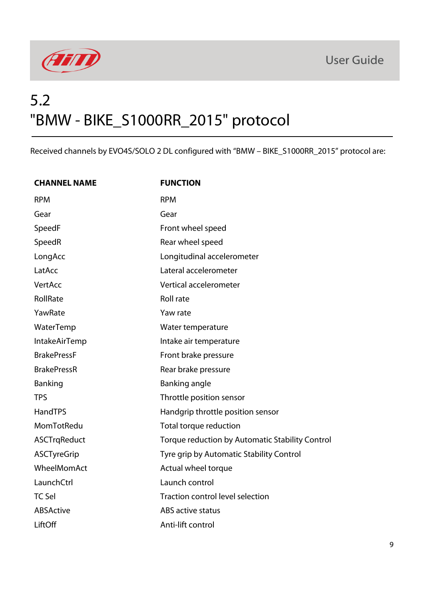



### 5.2 "BMW - BIKE\_S1000RR\_2015" protocol

Received channels by EVO4S/SOLO 2 DL configured with "BMW – BIKE\_S1000RR\_2015" protocol are:

| <b>CHANNEL NAME</b>  | <b>FUNCTION</b>                                 |
|----------------------|-------------------------------------------------|
| <b>RPM</b>           | <b>RPM</b>                                      |
| Gear                 | Gear                                            |
| SpeedF               | Front wheel speed                               |
| SpeedR               | Rear wheel speed                                |
| LongAcc              | Longitudinal accelerometer                      |
| LatAcc               | Lateral accelerometer                           |
| VertAcc              | Vertical accelerometer                          |
| RollRate             | Roll rate                                       |
| YawRate              | Yaw rate                                        |
| WaterTemp            | Water temperature                               |
| <b>IntakeAirTemp</b> | Intake air temperature                          |
| <b>BrakePressF</b>   | Front brake pressure                            |
| <b>BrakePressR</b>   | Rear brake pressure                             |
| Banking              | Banking angle                                   |
| <b>TPS</b>           | Throttle position sensor                        |
| <b>HandTPS</b>       | Handgrip throttle position sensor               |
| MomTotRedu           | Total torque reduction                          |
| <b>ASCTrqReduct</b>  | Torque reduction by Automatic Stability Control |
| <b>ASCTyreGrip</b>   | Tyre grip by Automatic Stability Control        |
| WheelMomAct          | Actual wheel torque                             |
| LaunchCtrl           | Launch control                                  |
| <b>TC Sel</b>        | Traction control level selection                |
| ABSActive            | ABS active status                               |
| LiftOff              | Anti-lift control                               |